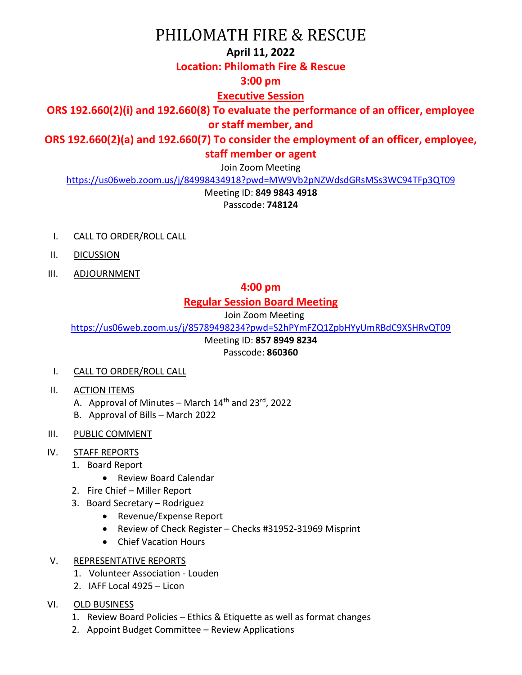# PHILOMATH FIRE & RESCUE

### **April 11, 2022**

### **Location: Philomath Fire & Rescue**

# **3:00 pm**

# **Executive Session**

# **ORS 192.660(2)(i) and 192.660(8) To evaluate the performance of an officer, employee or staff member, and**

**ORS 192.660(2)(a) and 192.660(7) To consider the employment of an officer, employee, staff member or agent**

Join Zoom Meeting

<https://us06web.zoom.us/j/84998434918?pwd=MW9Vb2pNZWdsdGRsMSs3WC94TFp3QT09>

Meeting ID: **849 9843 4918**

Passcode: **748124**

- I. CALL TO ORDER/ROLL CALL
- II. DICUSSION
- III. ADJOURNMENT

# **4:00 pm**

# **Regular Session Board Meeting**

Join Zoom Meeting

<https://us06web.zoom.us/j/85789498234?pwd=S2hPYmFZQ1ZpbHYyUmRBdC9XSHRvQT09>

Meeting ID: **857 8949 8234**

### Passcode: **860360**

- I. CALL TO ORDER/ROLL CALL
- II. ACTION ITEMS
	- A. Approval of Minutes March  $14<sup>th</sup>$  and  $23<sup>rd</sup>$ , 2022
	- B. Approval of Bills March 2022
- III. PUBLIC COMMENT

### IV. STAFF REPORTS

- 1. Board Report
	- Review Board Calendar
- 2. Fire Chief Miller Report
- 3. Board Secretary Rodriguez
	- Revenue/Expense Report
	- Review of Check Register Checks #31952-31969 Misprint
	- Chief Vacation Hours
- V. REPRESENTATIVE REPORTS
	- 1. Volunteer Association Louden
	- 2. IAFF Local 4925 Licon
- VI. OLD BUSINESS
	- 1. Review Board Policies Ethics & Etiquette as well as format changes
	- 2. Appoint Budget Committee Review Applications